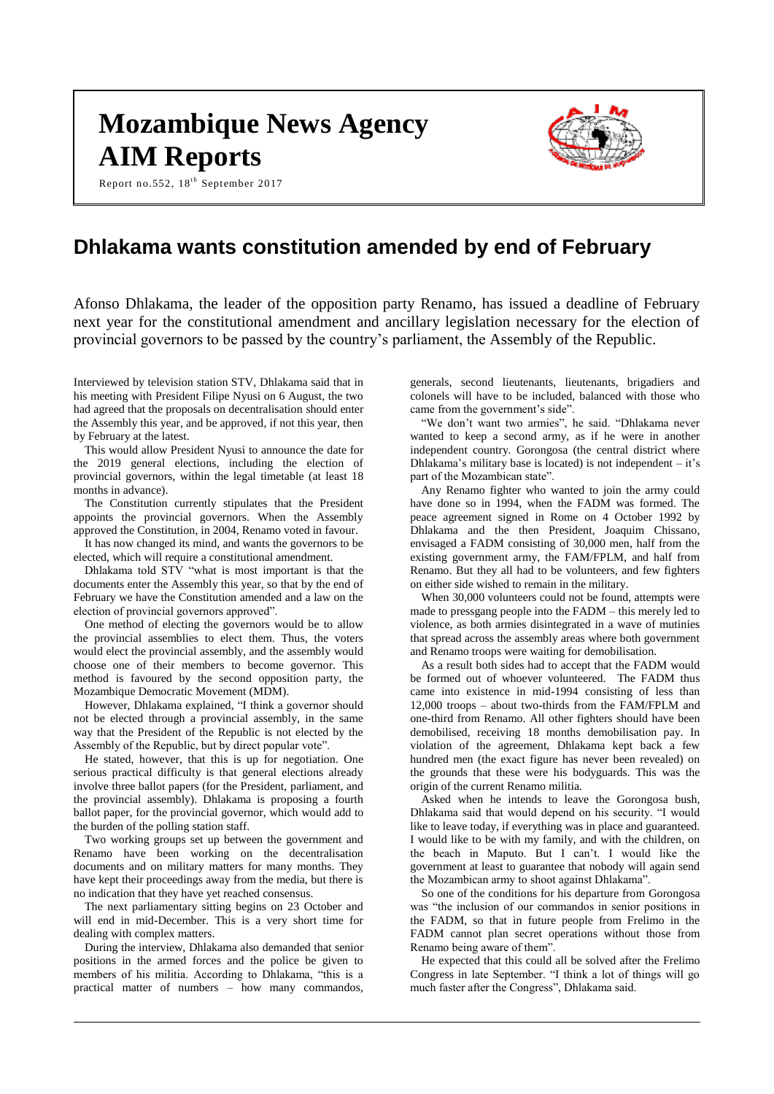# **Mozambique News Agency AIM Reports**

Report no.552,  $18^{th}$  September 2017



# **Dhlakama wants constitution amended by end of February**

Afonso Dhlakama, the leader of the opposition party Renamo, has issued a deadline of February next year for the constitutional amendment and ancillary legislation necessary for the election of provincial governors to be passed by the country's parliament, the Assembly of the Republic.

Interviewed by television station STV, Dhlakama said that in his meeting with President Filipe Nyusi on 6 August, the two had agreed that the proposals on decentralisation should enter the Assembly this year, and be approved, if not this year, then by February at the latest.

This would allow President Nyusi to announce the date for the 2019 general elections, including the election of provincial governors, within the legal timetable (at least 18 months in advance).

The Constitution currently stipulates that the President appoints the provincial governors. When the Assembly approved the Constitution, in 2004, Renamo voted in favour.

It has now changed its mind, and wants the governors to be elected, which will require a constitutional amendment.

Dhlakama told STV "what is most important is that the documents enter the Assembly this year, so that by the end of February we have the Constitution amended and a law on the election of provincial governors approved".

One method of electing the governors would be to allow the provincial assemblies to elect them. Thus, the voters would elect the provincial assembly, and the assembly would choose one of their members to become governor. This method is favoured by the second opposition party, the Mozambique Democratic Movement (MDM).

However, Dhlakama explained, "I think a governor should not be elected through a provincial assembly, in the same way that the President of the Republic is not elected by the Assembly of the Republic, but by direct popular vote".

He stated, however, that this is up for negotiation. One serious practical difficulty is that general elections already involve three ballot papers (for the President, parliament, and the provincial assembly). Dhlakama is proposing a fourth ballot paper, for the provincial governor, which would add to the burden of the polling station staff.

Two working groups set up between the government and Renamo have been working on the decentralisation documents and on military matters for many months. They have kept their proceedings away from the media, but there is no indication that they have yet reached consensus.

The next parliamentary sitting begins on 23 October and will end in mid-December. This is a very short time for dealing with complex matters.

During the interview, Dhlakama also demanded that senior positions in the armed forces and the police be given to members of his militia. According to Dhlakama, "this is a practical matter of numbers – how many commandos,

generals, second lieutenants, lieutenants, brigadiers and colonels will have to be included, balanced with those who came from the government's side".

"We don't want two armies", he said. "Dhlakama never wanted to keep a second army, as if he were in another independent country. Gorongosa (the central district where Dhlakama's military base is located) is not independent  $-$  it's part of the Mozambican state".

Any Renamo fighter who wanted to join the army could have done so in 1994, when the FADM was formed. The peace agreement signed in Rome on 4 October 1992 by Dhlakama and the then President, Joaquim Chissano, envisaged a FADM consisting of 30,000 men, half from the existing government army, the FAM/FPLM, and half from Renamo. But they all had to be volunteers, and few fighters on either side wished to remain in the military.

When 30,000 volunteers could not be found, attempts were made to pressgang people into the FADM – this merely led to violence, as both armies disintegrated in a wave of mutinies that spread across the assembly areas where both government and Renamo troops were waiting for demobilisation.

As a result both sides had to accept that the FADM would be formed out of whoever volunteered. The FADM thus came into existence in mid-1994 consisting of less than 12,000 troops – about two-thirds from the FAM/FPLM and one-third from Renamo. All other fighters should have been demobilised, receiving 18 months demobilisation pay. In violation of the agreement, Dhlakama kept back a few hundred men (the exact figure has never been revealed) on the grounds that these were his bodyguards. This was the origin of the current Renamo militia.

Asked when he intends to leave the Gorongosa bush, Dhlakama said that would depend on his security. "I would like to leave today, if everything was in place and guaranteed. I would like to be with my family, and with the children, on the beach in Maputo. But I can't. I would like the government at least to guarantee that nobody will again send the Mozambican army to shoot against Dhlakama".

So one of the conditions for his departure from Gorongosa was "the inclusion of our commandos in senior positions in the FADM, so that in future people from Frelimo in the FADM cannot plan secret operations without those from Renamo being aware of them".

He expected that this could all be solved after the Frelimo Congress in late September. "I think a lot of things will go much faster after the Congress", Dhlakama said.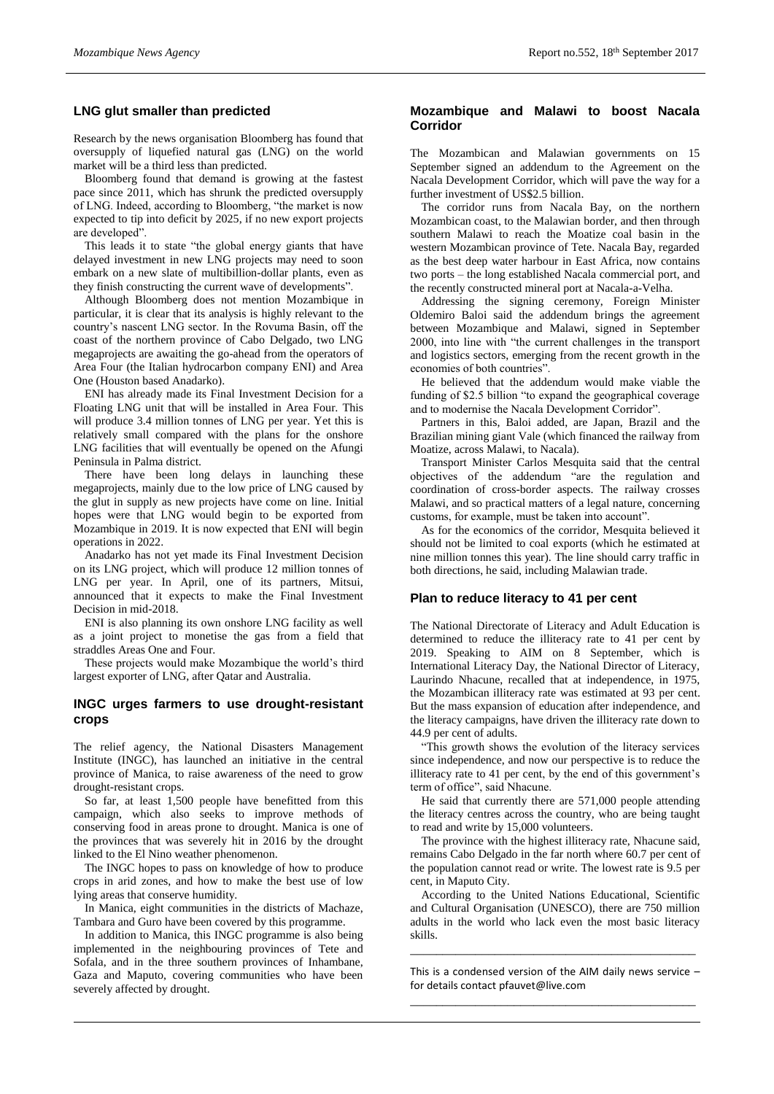# **LNG glut smaller than predicted**

Research by the news organisation Bloomberg has found that oversupply of liquefied natural gas (LNG) on the world market will be a third less than predicted.

Bloomberg found that demand is growing at the fastest pace since 2011, which has shrunk the predicted oversupply of LNG. Indeed, according to Bloomberg, "the market is now expected to tip into deficit by 2025, if no new export projects are developed".

This leads it to state "the global energy giants that have delayed investment in new LNG projects may need to soon embark on a new slate of multibillion-dollar plants, even as they finish constructing the current wave of developments".

Although Bloomberg does not mention Mozambique in particular, it is clear that its analysis is highly relevant to the country's nascent LNG sector. In the Rovuma Basin, off the coast of the northern province of Cabo Delgado, two LNG megaprojects are awaiting the go-ahead from the operators of Area Four (the Italian hydrocarbon company ENI) and Area One (Houston based Anadarko).

ENI has already made its Final Investment Decision for a Floating LNG unit that will be installed in Area Four. This will produce 3.4 million tonnes of LNG per year. Yet this is relatively small compared with the plans for the onshore LNG facilities that will eventually be opened on the Afungi Peninsula in Palma district.

There have been long delays in launching these megaprojects, mainly due to the low price of LNG caused by the glut in supply as new projects have come on line. Initial hopes were that LNG would begin to be exported from Mozambique in 2019. It is now expected that ENI will begin operations in 2022.

Anadarko has not yet made its Final Investment Decision on its LNG project, which will produce 12 million tonnes of LNG per year. In April, one of its partners, Mitsui, announced that it expects to make the Final Investment Decision in mid-2018.

ENI is also planning its own onshore LNG facility as well as a joint project to monetise the gas from a field that straddles Areas One and Four.

These projects would make Mozambique the world's third largest exporter of LNG, after Qatar and Australia.

#### **INGC urges farmers to use drought-resistant crops**

The relief agency, the National Disasters Management Institute (INGC), has launched an initiative in the central province of Manica, to raise awareness of the need to grow drought-resistant crops.

So far, at least 1,500 people have benefitted from this campaign, which also seeks to improve methods of conserving food in areas prone to drought. Manica is one of the provinces that was severely hit in 2016 by the drought linked to the El Nino weather phenomenon.

The INGC hopes to pass on knowledge of how to produce crops in arid zones, and how to make the best use of low lying areas that conserve humidity.

In Manica, eight communities in the districts of Machaze, Tambara and Guro have been covered by this programme.

In addition to Manica, this INGC programme is also being implemented in the neighbouring provinces of Tete and Sofala, and in the three southern provinces of Inhambane, Gaza and Maputo, covering communities who have been severely affected by drought.

# **Mozambique and Malawi to boost Nacala Corridor**

The Mozambican and Malawian governments on 15 September signed an addendum to the Agreement on the Nacala Development Corridor, which will pave the way for a further investment of US\$2.5 billion.

The corridor runs from Nacala Bay, on the northern Mozambican coast, to the Malawian border, and then through southern Malawi to reach the Moatize coal basin in the western Mozambican province of Tete. Nacala Bay, regarded as the best deep water harbour in East Africa, now contains two ports – the long established Nacala commercial port, and the recently constructed mineral port at Nacala-a-Velha.

Addressing the signing ceremony, Foreign Minister Oldemiro Baloi said the addendum brings the agreement between Mozambique and Malawi, signed in September 2000, into line with "the current challenges in the transport and logistics sectors, emerging from the recent growth in the economies of both countries".

He believed that the addendum would make viable the funding of \$2.5 billion "to expand the geographical coverage and to modernise the Nacala Development Corridor".

Partners in this, Baloi added, are Japan, Brazil and the Brazilian mining giant Vale (which financed the railway from Moatize, across Malawi, to Nacala).

Transport Minister Carlos Mesquita said that the central objectives of the addendum "are the regulation and coordination of cross-border aspects. The railway crosses Malawi, and so practical matters of a legal nature, concerning customs, for example, must be taken into account".

As for the economics of the corridor, Mesquita believed it should not be limited to coal exports (which he estimated at nine million tonnes this year). The line should carry traffic in both directions, he said, including Malawian trade.

#### **Plan to reduce literacy to 41 per cent**

The National Directorate of Literacy and Adult Education is determined to reduce the illiteracy rate to 41 per cent by 2019. Speaking to AIM on 8 September, which is International Literacy Day, the National Director of Literacy, Laurindo Nhacune, recalled that at independence, in 1975, the Mozambican illiteracy rate was estimated at 93 per cent. But the mass expansion of education after independence, and the literacy campaigns, have driven the illiteracy rate down to 44.9 per cent of adults.

"This growth shows the evolution of the literacy services since independence, and now our perspective is to reduce the illiteracy rate to 41 per cent, by the end of this government's term of office", said Nhacune.

He said that currently there are 571,000 people attending the literacy centres across the country, who are being taught to read and write by 15,000 volunteers.

The province with the highest illiteracy rate, Nhacune said, remains Cabo Delgado in the far north where 60.7 per cent of the population cannot read or write. The lowest rate is 9.5 per cent, in Maputo City.

According to the United Nations Educational, Scientific and Cultural Organisation (UNESCO), there are 750 million adults in the world who lack even the most basic literacy skills.

This is a condensed version of the AIM daily news service – for details contact [pfauvet@live.com](mailto:pfauvet@live.com) \_\_\_\_\_\_\_\_\_\_\_\_\_\_\_\_\_\_\_\_\_\_\_\_\_\_\_\_\_\_\_\_\_\_\_\_\_\_\_\_\_\_\_\_

\_\_\_\_\_\_\_\_\_\_\_\_\_\_\_\_\_\_\_\_\_\_\_\_\_\_\_\_\_\_\_\_\_\_\_\_\_\_\_\_\_\_\_\_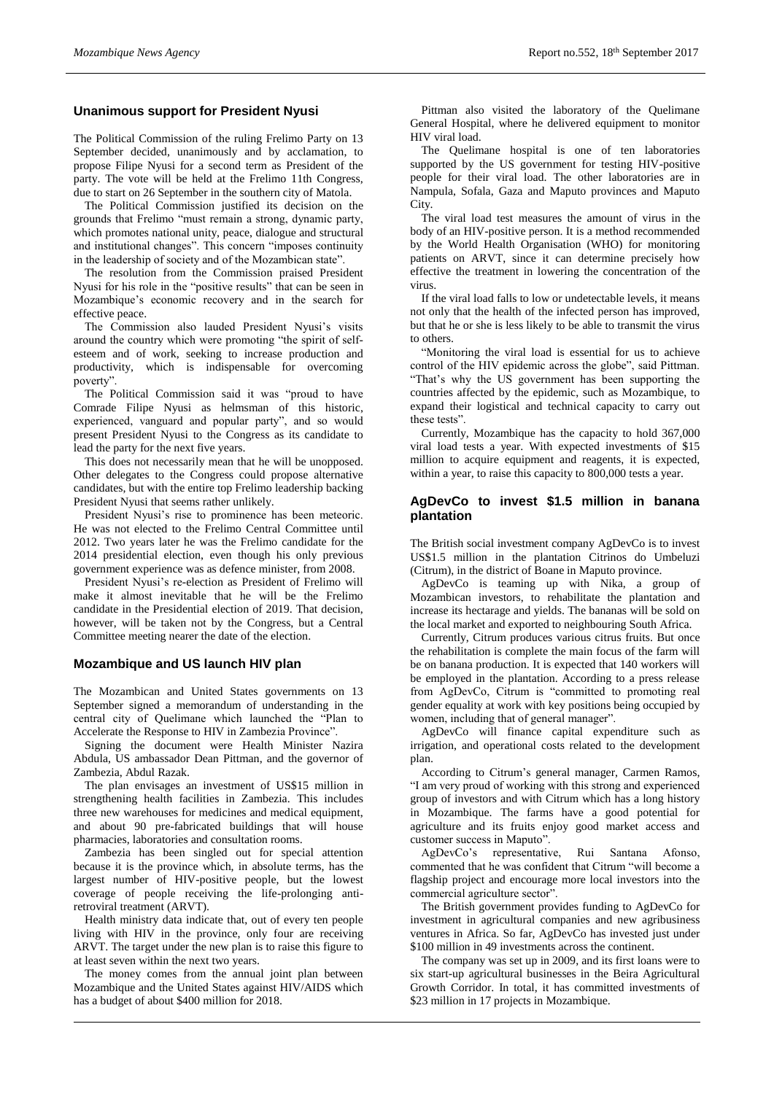# **Unanimous support for President Nyusi**

The Political Commission of the ruling Frelimo Party on 13 September decided, unanimously and by acclamation, to propose Filipe Nyusi for a second term as President of the party. The vote will be held at the Frelimo 11th Congress, due to start on 26 September in the southern city of Matola.

The Political Commission justified its decision on the grounds that Frelimo "must remain a strong, dynamic party, which promotes national unity, peace, dialogue and structural and institutional changes". This concern "imposes continuity in the leadership of society and of the Mozambican state".

The resolution from the Commission praised President Nyusi for his role in the "positive results" that can be seen in Mozambique's economic recovery and in the search for effective peace.

The Commission also lauded President Nyusi's visits around the country which were promoting "the spirit of selfesteem and of work, seeking to increase production and productivity, which is indispensable for overcoming poverty".

The Political Commission said it was "proud to have Comrade Filipe Nyusi as helmsman of this historic, experienced, vanguard and popular party", and so would present President Nyusi to the Congress as its candidate to lead the party for the next five years.

This does not necessarily mean that he will be unopposed. Other delegates to the Congress could propose alternative candidates, but with the entire top Frelimo leadership backing President Nyusi that seems rather unlikely.

President Nyusi's rise to prominence has been meteoric. He was not elected to the Frelimo Central Committee until 2012. Two years later he was the Frelimo candidate for the 2014 presidential election, even though his only previous government experience was as defence minister, from 2008.

President Nyusi's re-election as President of Frelimo will make it almost inevitable that he will be the Frelimo candidate in the Presidential election of 2019. That decision, however, will be taken not by the Congress, but a Central Committee meeting nearer the date of the election.

#### **Mozambique and US launch HIV plan**

The Mozambican and United States governments on 13 September signed a memorandum of understanding in the central city of Quelimane which launched the "Plan to Accelerate the Response to HIV in Zambezia Province".

Signing the document were Health Minister Nazira Abdula, US ambassador Dean Pittman, and the governor of Zambezia, Abdul Razak.

The plan envisages an investment of US\$15 million in strengthening health facilities in Zambezia. This includes three new warehouses for medicines and medical equipment, and about 90 pre-fabricated buildings that will house pharmacies, laboratories and consultation rooms.

Zambezia has been singled out for special attention because it is the province which, in absolute terms, has the largest number of HIV-positive people, but the lowest coverage of people receiving the life-prolonging antiretroviral treatment (ARVT).

Health ministry data indicate that, out of every ten people living with HIV in the province, only four are receiving ARVT. The target under the new plan is to raise this figure to at least seven within the next two years.

The money comes from the annual joint plan between Mozambique and the United States against HIV/AIDS which has a budget of about \$400 million for 2018.

Pittman also visited the laboratory of the Quelimane General Hospital, where he delivered equipment to monitor HIV viral load.

The Quelimane hospital is one of ten laboratories supported by the US government for testing HIV-positive people for their viral load. The other laboratories are in Nampula, Sofala, Gaza and Maputo provinces and Maputo City.

The viral load test measures the amount of virus in the body of an HIV-positive person. It is a method recommended by the World Health Organisation (WHO) for monitoring patients on ARVT, since it can determine precisely how effective the treatment in lowering the concentration of the virus.

If the viral load falls to low or undetectable levels, it means not only that the health of the infected person has improved, but that he or she is less likely to be able to transmit the virus to others.

"Monitoring the viral load is essential for us to achieve control of the HIV epidemic across the globe", said Pittman. "That's why the US government has been supporting the countries affected by the epidemic, such as Mozambique, to expand their logistical and technical capacity to carry out these tests".

Currently, Mozambique has the capacity to hold 367,000 viral load tests a year. With expected investments of \$15 million to acquire equipment and reagents, it is expected, within a year, to raise this capacity to 800,000 tests a year.

# **AgDevCo to invest \$1.5 million in banana plantation**

The British social investment company AgDevCo is to invest US\$1.5 million in the plantation Citrinos do Umbeluzi (Citrum), in the district of Boane in Maputo province.

AgDevCo is teaming up with Nika, a group of Mozambican investors, to rehabilitate the plantation and increase its hectarage and yields. The bananas will be sold on the local market and exported to neighbouring South Africa.

Currently, Citrum produces various citrus fruits. But once the rehabilitation is complete the main focus of the farm will be on banana production. It is expected that 140 workers will be employed in the plantation. According to a press release from AgDevCo, Citrum is "committed to promoting real gender equality at work with key positions being occupied by women, including that of general manager".

AgDevCo will finance capital expenditure such as irrigation, and operational costs related to the development plan.

According to Citrum's general manager, Carmen Ramos, "I am very proud of working with this strong and experienced group of investors and with Citrum which has a long history in Mozambique. The farms have a good potential for agriculture and its fruits enjoy good market access and customer success in Maputo".

AgDevCo's representative, Rui Santana Afonso, commented that he was confident that Citrum "will become a flagship project and encourage more local investors into the commercial agriculture sector".

The British government provides funding to AgDevCo for investment in agricultural companies and new agribusiness ventures in Africa. So far, AgDevCo has invested just under \$100 million in 49 investments across the continent.

The company was set up in 2009, and its first loans were to six start-up agricultural businesses in the Beira Agricultural Growth Corridor. In total, it has committed investments of \$23 million in 17 projects in Mozambique.